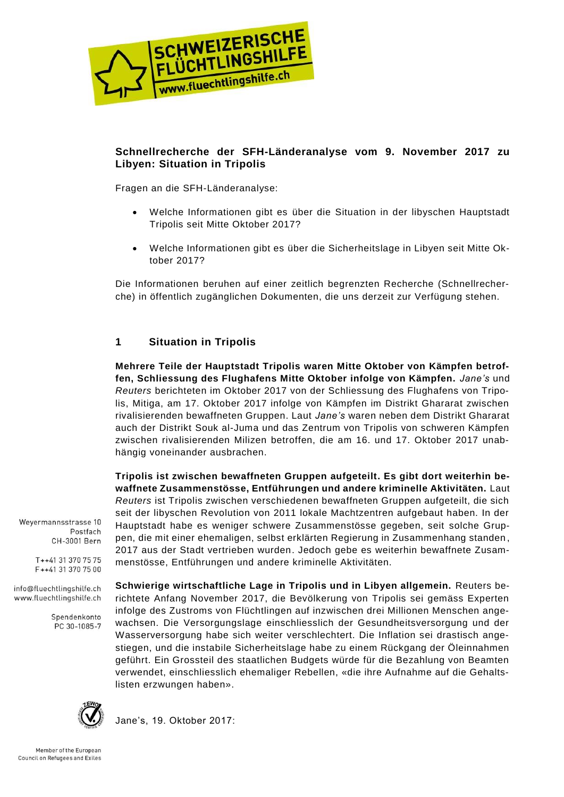

## **Schnellrecherche der SFH-Länderanalyse vom 9. November 2017 zu Libyen: Situation in Tripolis**

Fragen an die SFH-Länderanalyse:

- Welche Informationen gibt es über die Situation in der libyschen Hauptstadt Tripolis seit Mitte Oktober 2017?
- Welche Informationen gibt es über die Sicherheitslage in Libyen seit Mitte Oktober 2017?

Die Informationen beruhen auf einer zeitlich begrenzten Recherche (Schnellrecherche) in öffentlich zugänglichen Dokumenten, die uns derzeit zur Verfügung stehen.

# **1 Situation in Tripolis**

**Mehrere Teile der Hauptstadt Tripolis waren Mitte Oktober von Kämpfen betroffen, Schliessung des Flughafens Mitte Oktober infolge von Kämpfen.** *Jane's* und *Reuters* berichteten im Oktober 2017 von der Schliessung des Flughafens von Tripolis, Mitiga, am 17. Oktober 2017 infolge von Kämpfen im Distrikt Ghararat zwischen rivalisierenden bewaffneten Gruppen. Laut *Jane's* waren neben dem Distrikt Ghararat auch der Distrikt Souk al-Juma und das Zentrum von Tripolis von schweren Kämpfen zwischen rivalisierenden Milizen betroffen, die am 16. und 17. Oktober 2017 unabhängig voneinander ausbrachen.

**Tripolis ist zwischen bewaffneten Gruppen aufgeteilt. Es gibt dort weiterhin bewaffnete Zusammenstösse, Entführungen und andere kriminelle Aktivitäten.** Laut *Reuters* ist Tripolis zwischen verschiedenen bewaffneten Gruppen aufgeteilt, die sich seit der libyschen Revolution von 2011 lokale Machtzentren aufgebaut haben. In der Hauptstadt habe es weniger schwere Zusammenstösse gegeben, seit solche Gruppen, die mit einer ehemaligen, selbst erklärten Regierung in Zusammenhang standen , 2017 aus der Stadt vertrieben wurden. Jedoch gebe es weiterhin bewaffnete Zusammenstösse, Entführungen und andere kriminelle Aktivitäten.

**Schwierige wirtschaftliche Lage in Tripolis und in Libyen allgemein.** Reuters berichtete Anfang November 2017, die Bevölkerung von Tripolis sei gemäss Experten infolge des Zustroms von Flüchtlingen auf inzwischen drei Millionen Menschen angewachsen. Die Versorgungslage einschliesslich der Gesundheitsversorgung und der Wasserversorgung habe sich weiter verschlechtert. Die Inflation sei drastisch angestiegen, und die instabile Sicherheitslage habe zu einem Rückgang der Öleinnahmen geführt. Ein Grossteil des staatlichen Budgets würde für die Bezahlung von Beamten verwendet, einschliesslich ehemaliger Rebellen, «die ihre Aufnahme auf die Gehaltslisten erzwungen haben».



Jane's, 19. Oktober 2017:

Weyermannsstrasse 10

info@fluechtlingshilfe.ch www.fluechtlingshilfe.ch

T++41 31 370 75 75 F++41 31 370 75 00

> Spendenkonto PC 30-1085-7

Postfach CH-3001 Bern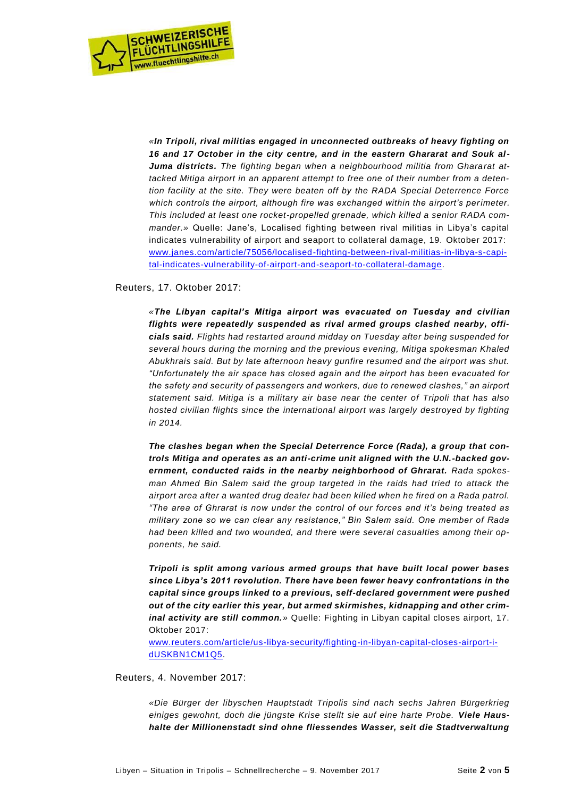

*«In Tripoli, rival militias engaged in unconnected outbreaks of heavy fighting on 16 and 17 October in the city centre, and in the eastern Ghararat and Souk al-Juma districts. The fighting began when a neighbourhood militia from Ghararat attacked Mitiga airport in an apparent attempt to free one of their number from a detention facility at the site. They were beaten off by the RADA Special Deterrence Force which controls the airport, although fire was exchanged within the airport's perimeter. This included at least one rocket-propelled grenade, which killed a senior RADA commander.»* Quelle: Jane's, Localised fighting between rival militias in Libya's capital indicates vulnerability of airport and seaport to collateral damage, 19. Oktober 2017: [www.janes.com/article/75056/localised-fighting-between-rival-militias-in-libya-s-capi](http://www.janes.com/article/75056/localised-fighting-between-rival-militias-in-libya-s-capital-indicates-vulnerability-of-airport-and-seaport-to-collateral-damage)[tal-indicates-vulnerability-of-airport-and-seaport-to-collateral-damage.](http://www.janes.com/article/75056/localised-fighting-between-rival-militias-in-libya-s-capital-indicates-vulnerability-of-airport-and-seaport-to-collateral-damage)

Reuters, 17. Oktober 2017:

*«The Libyan capital's Mitiga airport was evacuated on Tuesday and civilian flights were repeatedly suspended as rival armed groups clashed nearby, officials said. Flights had restarted around midday on Tuesday after being suspended for several hours during the morning and the previous evening, Mitiga spokesman Khaled Abukhrais said. But by late afternoon heavy gunfire resumed and the airport was shut. "Unfortunately the air space has closed again and the airport has been evacuated for the safety and security of passengers and workers, due to renewed clashes," an airport statement said. Mitiga is a military air base near the center of Tripoli that has also hosted civilian flights since the international airport was largely destroyed by fighting in 2014.*

*The clashes began when the Special Deterrence Force (Rada), a group that controls Mitiga and operates as an anti-crime unit aligned with the U.N.-backed government, conducted raids in the nearby neighborhood of Ghrarat. Rada spokesman Ahmed Bin Salem said the group targeted in the raids had tried to attack the airport area after a wanted drug dealer had been killed when he fired on a Rada patrol. "The area of Ghrarat is now under the control of our forces and it's being treated as military zone so we can clear any resistance," Bin Salem said. One member of Rada had been killed and two wounded, and there were several casualties among their opponents, he said.*

*Tripoli is split among various armed groups that have built local power bases since Libya's 2011 revolution. There have been fewer heavy confrontations in the capital since groups linked to a previous, self-declared government were pushed out of the city earlier this year, but armed skirmishes, kidnapping and other criminal activity are still common.»* Quelle: Fighting in Libyan capital closes airport, 17. Oktober 2017:

[www.reuters.com/article/us-libya-security/fighting-in-libyan-capital-closes-airport-i](http://www.reuters.com/article/us-libya-security/fighting-in-libyan-capital-closes-airport-idUSKBN1CM1Q5)[dUSKBN1CM1Q5.](http://www.reuters.com/article/us-libya-security/fighting-in-libyan-capital-closes-airport-idUSKBN1CM1Q5)

Reuters, 4. November 2017:

*«Die Bürger der libyschen Hauptstadt Tripolis sind nach sechs Jahren Bürgerkrieg*  einiges gewohnt, doch die jüngste Krise stellt sie auf eine harte Probe. Viele Haus*halte der Millionenstadt sind ohne fliessendes Wasser, seit die Stadtverwaltung*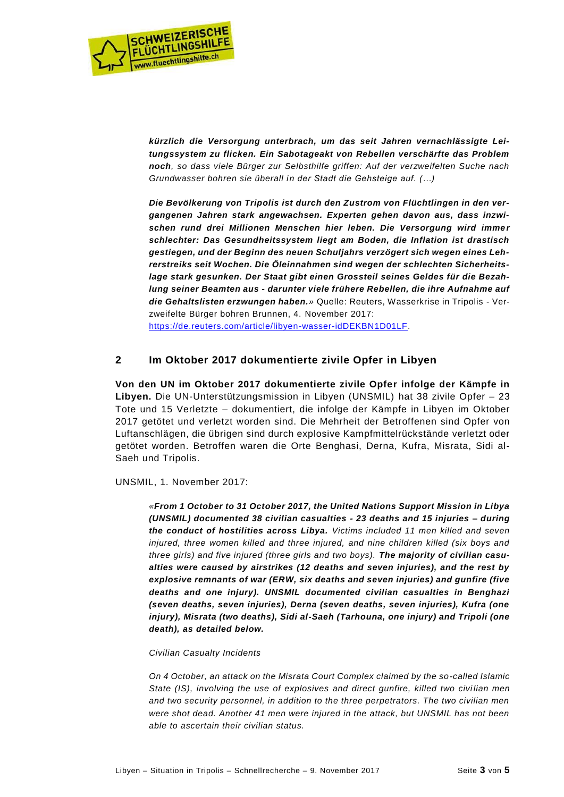

*kürzlich die Versorgung unterbrach, um das seit Jahren vernachlässigte Leitungssystem zu flicken. Ein Sabotageakt von Rebellen verschärfte das Problem noch, so dass viele Bürger zur Selbsthilfe griffen: Auf der verzweifelten Suche nach Grundwasser bohren sie überall in der Stadt die Gehsteige auf. (…)*

*Die Bevölkerung von Tripolis ist durch den Zustrom von Flüchtlingen in den vergangenen Jahren stark angewachsen. Experten gehen davon aus, dass inzwischen rund drei Millionen Menschen hier leben. Die Versorgung wird immer schlechter: Das Gesundheitssystem liegt am Boden, die Inflation ist drastisch gestiegen, und der Beginn des neuen Schuljahrs verzögert sich wegen eines Lehrerstreiks seit Wochen. Die Öleinnahmen sind wegen der schlechten Sicherheitslage stark gesunken. Der Staat gibt einen Grossteil seines Geldes für die Bezahlung seiner Beamten aus - darunter viele frühere Rebellen, die ihre Aufnahme auf die Gehaltslisten erzwungen haben.»* Quelle: Reuters, Wasserkrise in Tripolis - Verzweifelte Bürger bohren Brunnen, 4. November 2017: [https://de.reuters.com/article/libyen-wasser-idDEKBN1D01LF.](https://de.reuters.com/article/libyen-wasser-idDEKBN1D01LF)

## **2 Im Oktober 2017 dokumentierte zivile Opfer in Libyen**

**Von den UN im Oktober 2017 dokumentierte zivile Opfer infolge der Kämpfe in Libyen.** Die UN-Unterstützungsmission in Libyen (UNSMIL) hat 38 zivile Opfer – 23 Tote und 15 Verletzte – dokumentiert, die infolge der Kämpfe in Libyen im Oktober 2017 getötet und verletzt worden sind. Die Mehrheit der Betroffenen sind Opfer von Luftanschlägen, die übrigen sind durch explosive Kampfmittelrückstände verletzt oder getötet worden. Betroffen waren die Orte Benghasi, Derna, Kufra, Misrata, Sidi al-Saeh und Tripolis.

UNSMIL, 1. November 2017:

*«From 1 October to 31 October 2017, the United Nations Support Mission in Libya (UNSMIL) documented 38 civilian casualties - 23 deaths and 15 injuries – during the conduct of hostilities across Libya. Victims included 11 men killed and seven injured, three women killed and three injured, and nine children killed (six boys and three girls) and five injured (three girls and two boys). The majority of civilian casualties were caused by airstrikes (12 deaths and seven injuries), and the rest by explosive remnants of war (ERW, six deaths and seven injuries) and gunfire (five deaths and one injury). UNSMIL documented civilian casualties in Benghazi (seven deaths, seven injuries), Derna (seven deaths, seven injuries), Kufra (one injury), Misrata (two deaths), Sidi al-Saeh (Tarhouna, one injury) and Tripoli (one death), as detailed below.*

### *Civilian Casualty Incidents*

*On 4 October, an attack on the Misrata Court Complex claimed by the so-called Islamic*  State (IS), involving the use of explosives and direct gunfire, killed two civilian men *and two security personnel, in addition to the three perpetrators. The two civilian men were shot dead. Another 41 men were injured in the attack, but UNSMIL has not been able to ascertain their civilian status.*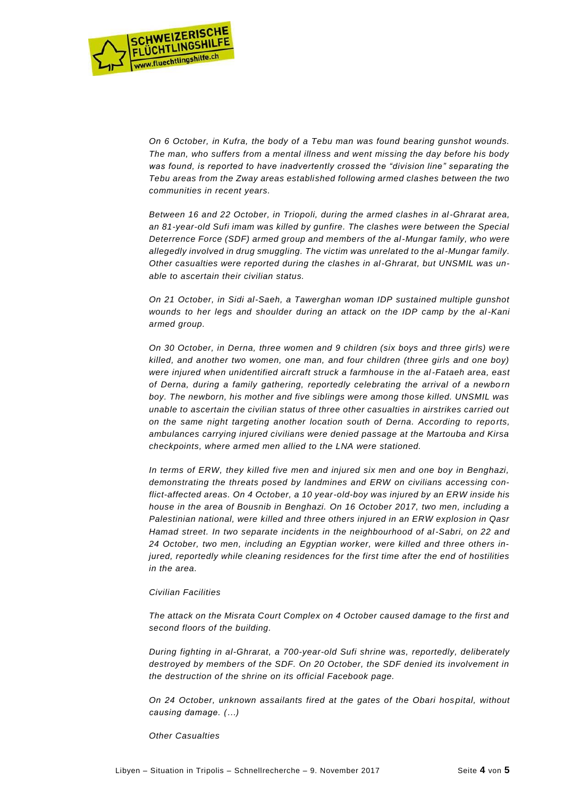

*On 6 October, in Kufra, the body of a Tebu man was found bearing gunshot wounds. The man, who suffers from a mental illness and went missing the day before his body was found, is reported to have inadvertently crossed the "division line" separating the Tebu areas from the Zway areas established following armed clashes between the two communities in recent years.*

*Between 16 and 22 October, in Triopoli, during the armed clashes in al-Ghrarat area, an 81-year-old Sufi imam was killed by gunfire. The clashes were between the Special Deterrence Force (SDF) armed group and members of the al-Mungar family, who were allegedly involved in drug smuggling. The victim was unrelated to the al-Mungar family. Other casualties were reported during the clashes in al-Ghrarat, but UNSMIL was unable to ascertain their civilian status.* 

*On 21 October, in Sidi al-Saeh, a Tawerghan woman IDP sustained multiple gunshot wounds to her legs and shoulder during an attack on the IDP camp by the al-Kani armed group.* 

*On 30 October, in Derna, three women and 9 children (six boys and three girls) we re killed, and another two women, one man, and four children (three girls and one boy) were injured when unidentified aircraft struck a farmhouse in the al-Fataeh area, east of Derna, during a family gathering, reportedly celebrating the arrival of a newbo rn boy. The newborn, his mother and five siblings were among those killed. UNSMIL was unable to ascertain the civilian status of three other casualties in airstrikes carried out on the same night targeting another location south of Derna. According to repo rts, ambulances carrying injured civilians were denied passage at the Martouba and Kirsa checkpoints, where armed men allied to the LNA were stationed.* 

*In terms of ERW, they killed five men and injured six men and one boy in Benghazi, demonstrating the threats posed by landmines and ERW on civilians accessing conflict-affected areas. On 4 October, a 10 year-old-boy was injured by an ERW inside his house in the area of Bousnib in Benghazi. On 16 October 2017, two men, including a Palestinian national, were killed and three others injured in an ERW explosion in Qasr Hamad street. In two separate incidents in the neighbourhood of al-Sabri, on 22 and 24 October, two men, including an Egyptian worker, were killed and three others injured, reportedly while cleaning residences for the first time after the end of hostilities in the area.* 

#### *Civilian Facilities*

*The attack on the Misrata Court Complex on 4 October caused damage to the first and second floors of the building.* 

*During fighting in al-Ghrarat, a 700-year-old Sufi shrine was, reportedly, deliberately destroyed by members of the SDF. On 20 October, the SDF denied its involvement in the destruction of the shrine on its official Facebook page.*

*On 24 October, unknown assailants fired at the gates of the Obari hos pital, without causing damage. (…)*

*Other Casualties*